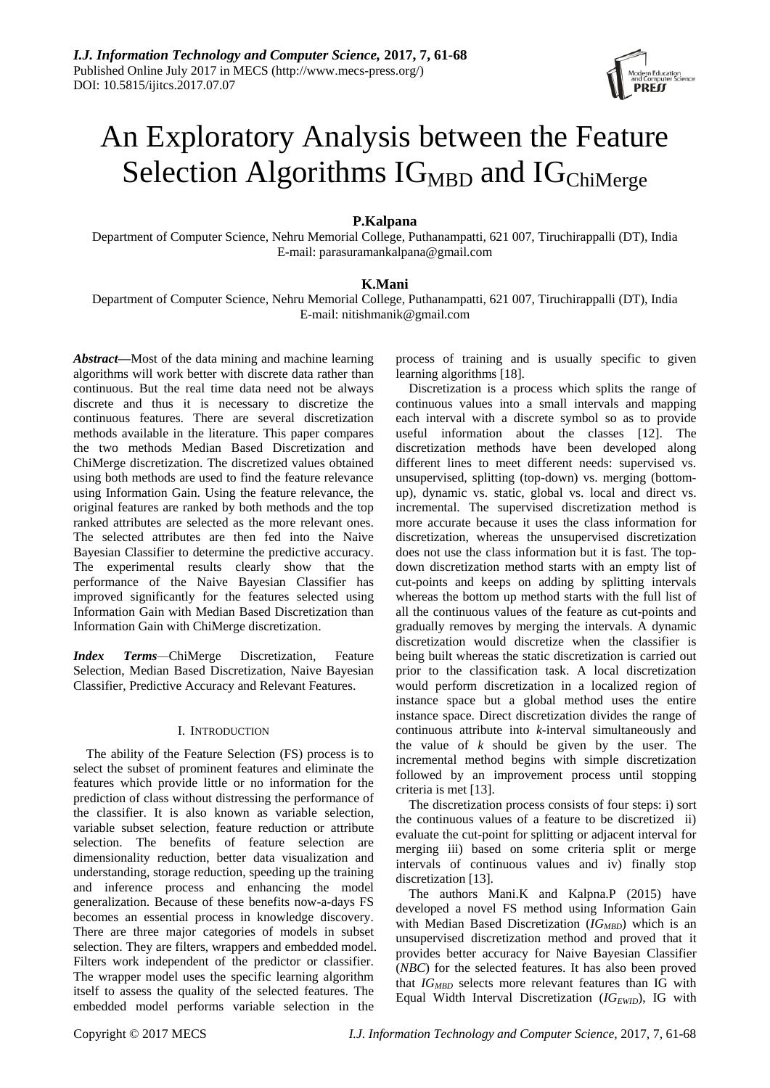

# An Exploratory Analysis between the Feature Selection Algorithms  $IG<sub>MBD</sub>$  and  $IG<sub>ChiMerge</sub>$

# **P.Kalpana**

Department of Computer Science, Nehru Memorial College, Puthanampatti, 621 007, Tiruchirappalli (DT), India E-mail: parasuramankalpana@gmail.com

## **K.Mani**

Department of Computer Science, Nehru Memorial College, Puthanampatti, 621 007, Tiruchirappalli (DT), India E-mail: nitishmanik@gmail.com

*Abstract—*Most of the data mining and machine learning algorithms will work better with discrete data rather than continuous. But the real time data need not be always discrete and thus it is necessary to discretize the continuous features. There are several discretization methods available in the literature. This paper compares the two methods Median Based Discretization and ChiMerge discretization. The discretized values obtained using both methods are used to find the feature relevance using Information Gain. Using the feature relevance, the original features are ranked by both methods and the top ranked attributes are selected as the more relevant ones. The selected attributes are then fed into the Naive Bayesian Classifier to determine the predictive accuracy. The experimental results clearly show that the performance of the Naive Bayesian Classifier has improved significantly for the features selected using Information Gain with Median Based Discretization than Information Gain with ChiMerge discretization.

*Index Terms—*ChiMerge Discretization, Feature Selection, Median Based Discretization, Naive Bayesian Classifier, Predictive Accuracy and Relevant Features.

#### I. INTRODUCTION

The ability of the Feature Selection (FS) process is to select the subset of prominent features and eliminate the features which provide little or no information for the prediction of class without distressing the performance of the classifier. It is also known as variable selection, variable subset selection, feature reduction or attribute selection. The benefits of feature selection are dimensionality reduction, better data visualization and understanding, storage reduction, speeding up the training and inference process and enhancing the model generalization. Because of these benefits now-a-days FS becomes an essential process in knowledge discovery. There are three major categories of models in subset selection. They are filters, wrappers and embedded model. Filters work independent of the predictor or classifier. The wrapper model uses the specific learning algorithm itself to assess the quality of the selected features. The embedded model performs variable selection in the

process of training and is usually specific to given learning algorithms [18].

Discretization is a process which splits the range of continuous values into a small intervals and mapping each interval with a discrete symbol so as to provide useful information about the classes [12]. The discretization methods have been developed along different lines to meet different needs: supervised vs. unsupervised, splitting (top-down) vs. merging (bottomup), dynamic vs. static, global vs. local and direct vs. incremental. The supervised discretization method is more accurate because it uses the class information for discretization, whereas the unsupervised discretization does not use the class information but it is fast. The topdown discretization method starts with an empty list of cut-points and keeps on adding by splitting intervals whereas the bottom up method starts with the full list of all the continuous values of the feature as cut-points and gradually removes by merging the intervals. A dynamic discretization would discretize when the classifier is being built whereas the static discretization is carried out prior to the classification task. A local discretization would perform discretization in a localized region of instance space but a global method uses the entire instance space. Direct discretization divides the range of continuous attribute into *k*-interval simultaneously and the value of *k* should be given by the user. The incremental method begins with simple discretization followed by an improvement process until stopping criteria is met [13].

The discretization process consists of four steps: i) sort the continuous values of a feature to be discretized ii) evaluate the cut-point for splitting or adjacent interval for merging iii) based on some criteria split or merge intervals of continuous values and iv) finally stop discretization [13].

The authors Mani.K and Kalpna.P (2015) have developed a novel FS method using Information Gain with Median Based Discretization (*IG<sub>MBD</sub>*) which is an unsupervised discretization method and proved that it provides better accuracy for Naive Bayesian Classifier (*NBC*) for the selected features. It has also been proved that  $IG<sub>MBD</sub>$  selects more relevant features than IG with Equal Width Interval Discretization (*IG*<sub>*EWID*</sub>), IG with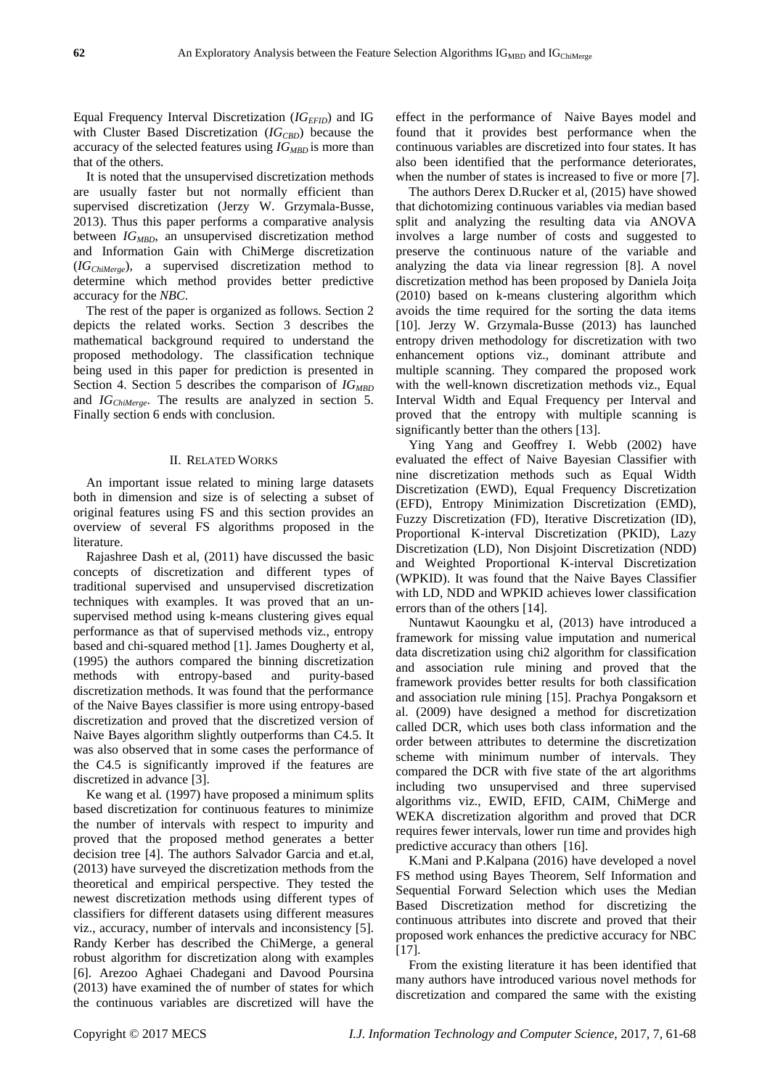Equal Frequency Interval Discretization (*IGEFID*) and IG with Cluster Based Discretization (*IG<sub>CBD</sub>*) because the accuracy of the selected features using *IGMBD* is more than that of the others.

It is noted that the unsupervised discretization methods are usually faster but not normally efficient than supervised discretization (Jerzy W. Grzymala-Busse, 2013). Thus this paper performs a comparative analysis between *IG<sub>MBD</sub>*, an unsupervised discretization method and Information Gain with ChiMerge discretization (*IGChiMerge*), a supervised discretization method to determine which method provides better predictive accuracy for the *NBC*.

The rest of the paper is organized as follows. Section 2 depicts the related works. Section 3 describes the mathematical background required to understand the proposed methodology. The classification technique being used in this paper for prediction is presented in Section 4. Section 5 describes the comparison of *IGMBD* and *IGChiMerge* . The results are analyzed in section 5. Finally section 6 ends with conclusion.

#### II. RELATED WORKS

An important issue related to mining large datasets both in dimension and size is of selecting a subset of original features using FS and this section provides an overview of several FS algorithms proposed in the literature.

Rajashree Dash et al, (2011) have discussed the basic concepts of discretization and different types of traditional supervised and unsupervised discretization techniques with examples. It was proved that an unsupervised method using k-means clustering gives equal performance as that of supervised methods viz., entropy based and chi-squared method [1]. James Dougherty et al, (1995) the authors compared the binning discretization methods with entropy-based and purity-based discretization methods. It was found that the performance of the Naive Bayes classifier is more using entropy-based discretization and proved that the discretized version of Naive Bayes algorithm slightly outperforms than C4.5. It was also observed that in some cases the performance of the C4.5 is significantly improved if the features are discretized in advance [3].

Ke wang et al*.* (1997) have proposed a minimum splits based discretization for continuous features to minimize the number of intervals with respect to impurity and proved that the proposed method generates a better decision tree [4]. The authors Salvador Garcia and et.al, (2013) have surveyed the discretization methods from the theoretical and empirical perspective. They tested the newest discretization methods using different types of classifiers for different datasets using different measures viz., accuracy, number of intervals and inconsistency [5]. Randy Kerber has described the ChiMerge, a general robust algorithm for discretization along with examples [6]. Arezoo Aghaei Chadegani and Davood Poursina (2013) have examined the of number of states for which the continuous variables are discretized will have the effect in the performance of Naive Bayes model and found that it provides best performance when the continuous variables are discretized into four states. It has also been identified that the performance deteriorates, when the number of states is increased to five or more [7].

The authors Derex D.Rucker et al, (2015) have showed that dichotomizing continuous variables via median based split and analyzing the resulting data via ANOVA involves a large number of costs and suggested to preserve the continuous nature of the variable and analyzing the data via linear regression [8]. A novel discretization method has been proposed by Daniela Joiţa (2010) based on k-means clustering algorithm which avoids the time required for the sorting the data items [10]. Jerzy W. Grzymala-Busse (2013) has launched entropy driven methodology for discretization with two enhancement options viz., dominant attribute and multiple scanning. They compared the proposed work with the well-known discretization methods viz., Equal Interval Width and Equal Frequency per Interval and proved that the entropy with multiple scanning is significantly better than the others [13].

Ying Yang and Geoffrey I. Webb (2002) have evaluated the effect of Naive Bayesian Classifier with nine discretization methods such as Equal Width Discretization (EWD), Equal Frequency Discretization (EFD), Entropy Minimization Discretization (EMD), Fuzzy Discretization (FD), Iterative Discretization (ID), Proportional K-interval Discretization (PKID), Lazy Discretization (LD), Non Disjoint Discretization (NDD) and Weighted Proportional K-interval Discretization (WPKID). It was found that the Naive Bayes Classifier with LD, NDD and WPKID achieves lower classification errors than of the others [14].

Nuntawut Kaoungku et al, (2013) have introduced a framework for missing value imputation and numerical data discretization using chi2 algorithm for classification and association rule mining and proved that the framework provides better results for both classification and association rule mining [15]. Prachya Pongaksorn et al. (2009) have designed a method for discretization called DCR, which uses both class information and the order between attributes to determine the discretization scheme with minimum number of intervals. They compared the DCR with five state of the art algorithms including two unsupervised and three supervised algorithms viz., EWID, EFID, CAIM, ChiMerge and WEKA discretization algorithm and proved that DCR requires fewer intervals, lower run time and provides high predictive accuracy than others [16].

K.Mani and P.Kalpana (2016) have developed a novel FS method using Bayes Theorem, Self Information and Sequential Forward Selection which uses the Median Based Discretization method for discretizing the continuous attributes into discrete and proved that their proposed work enhances the predictive accuracy for NBC [17].

From the existing literature it has been identified that many authors have introduced various novel methods for discretization and compared the same with the existing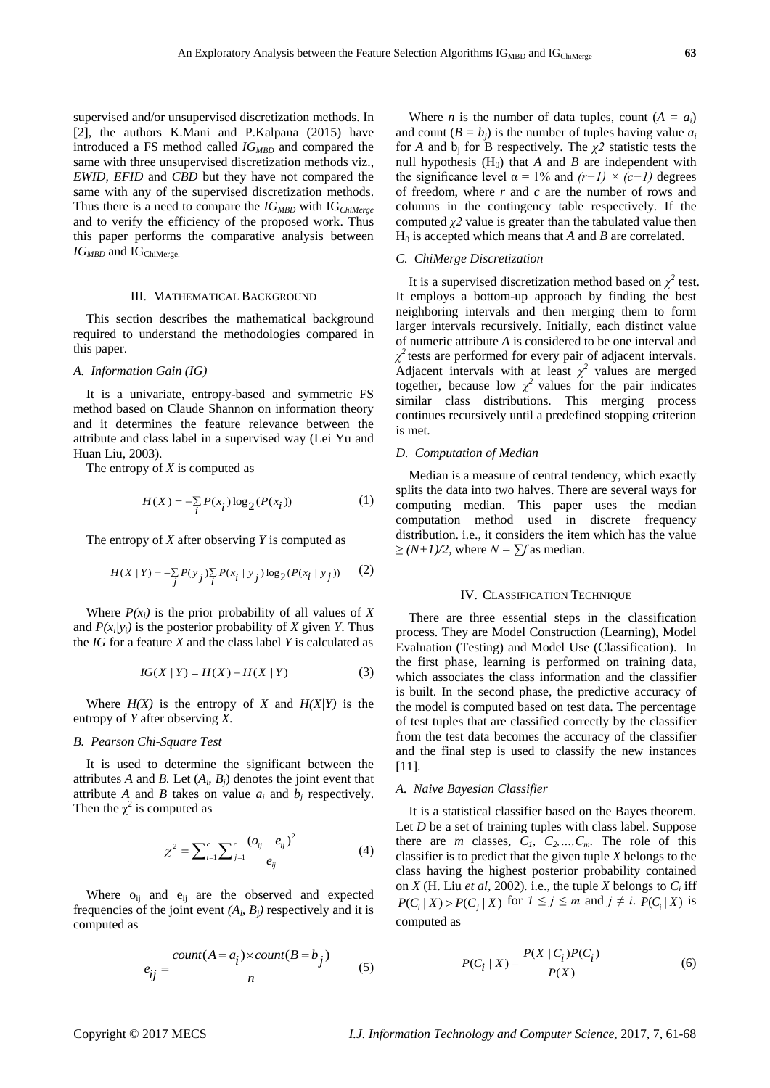supervised and/or unsupervised discretization methods. In [2], the authors K.Mani and P.Kalpana (2015) have introduced a FS method called *IGMBD* and compared the same with three unsupervised discretization methods viz., *EWID, EFID* and *CBD* but they have not compared the same with any of the supervised discretization methods. Thus there is a need to compare the *IG<sub>MBD</sub>* with IG<sub>ChiMerge</sub> and to verify the efficiency of the proposed work. Thus this paper performs the comparative analysis between *IG*<sub>*MBD</sub>* and IG<sub>ChiMerge.</sub></sub>

#### III. MATHEMATICAL BACKGROUND

This section describes the mathematical background required to understand the methodologies compared in this paper.

#### *A. Information Gain (IG)*

It is a univariate, entropy-based and symmetric FS method based on Claude Shannon on information theory and it determines the feature relevance between the attribute and class label in a supervised way (Lei Yu and Huan Liu, 2003).

The entropy of *X* is computed as

$$
H(X) = -\sum_{i} P(x_i) \log_2(P(x_i))
$$
 (1)

The entropy of *X* after observing *Y* is computed as

$$
H(X | Y) = -\sum_{j} P(y_j) \sum_{i} P(x_i | y_j) \log_2(P(x_i | y_j))
$$
 (2)

Where  $P(x_i)$  is the prior probability of all values of X and  $P(x_i|y_i)$  is the posterior probability of *X* given *Y*. Thus the *IG* for a feature *X* and the class label *Y* is calculated as

$$
IG(X | Y) = H(X) - H(X | Y)
$$
 (3)

Where  $H(X)$  is the entropy of *X* and  $H(X|Y)$  is the entropy of *Y* after observing *X*.

### *B. Pearson Chi-Square Test*

It is used to determine the significant between the attributes *A* and *B*. Let  $(A_i, B_j)$  denotes the joint event that attribute *A* and *B* takes on value  $a_i$  and  $b_j$  respectively. Then the  $\chi^2$  is computed as

$$
\chi^2 = \sum_{i=1}^{c} \sum_{j=1}^{r} \frac{(o_{ij} - e_{ij})^2}{e_{ij}}
$$
(4)

Where  $o_{ii}$  and  $e_{ii}$  are the observed and expected frequencies of the joint event  $(A_i, B_j)$  respectively and it is computed as

$$
e_{ij} = \frac{count(A = a_i) \times count(B = b_j)}{n}
$$
 (5)

Where *n* is the number of data tuples, count  $(A = a_i)$ and count  $(B = b_i)$  is the number of tuples having value  $a_i$ for *A* and  $b_i$  for *B* respectively. The  $\chi^2$  statistic tests the null hypothesis  $(H_0)$  that *A* and *B* are independent with the significance level  $\alpha = 1\%$  and  $(r-1) \times (c-1)$  degrees of freedom, where *r* and *c* are the number of rows and columns in the contingency table respectively. If the computed *χ2* value is greater than the tabulated value then  $H<sub>0</sub>$  is accepted which means that *A* and *B* are correlated.

#### *C. ChiMerge Discretization*

It is a supervised discretization method based on  $\chi^2$  test. It employs a bottom-up approach by finding the best neighboring intervals and then merging them to form larger intervals recursively. Initially, each distinct value of numeric attribute *A* is considered to be one interval and  $\chi^2$  tests are performed for every pair of adjacent intervals. Adjacent intervals with at least  $\chi^2$  values are merged together, because low  $\chi^2$  values for the pair indicates similar class distributions. This merging process continues recursively until a predefined stopping criterion is met.

#### *D. Computation of Median*

Median is a measure of central tendency, which exactly splits the data into two halves. There are several ways for computing median. This paper uses the median computation method used in discrete frequency distribution. i.e., it considers the item which has the value  $\geq$   $(N+1)/2$ , where  $N = \sum f$  as median.

#### IV. CLASSIFICATION TECHNIQUE

There are three essential steps in the classification process. They are Model Construction (Learning), Model Evaluation (Testing) and Model Use (Classification). In the first phase, learning is performed on training data, which associates the class information and the classifier is built. In the second phase, the predictive accuracy of the model is computed based on test data. The percentage of test tuples that are classified correctly by the classifier from the test data becomes the accuracy of the classifier and the final step is used to classify the new instances [11].

#### *A. Naive Bayesian Classifier*

It is a statistical classifier based on the Bayes theorem. Let *D* be a set of training tuples with class label. Suppose there are *m* classes,  $C_1$ ,  $C_2$ , ...,  $C_m$ . The role of this classifier is to predict that the given tuple *X* belongs to the class having the highest posterior probability contained on *X* (H. Liu *et al,* 2002)*.* i.e., the tuple *X* belongs to *C<sup>i</sup>* iff  $P(C_i | X) > P(C_j | X)$  for  $1 \leq j \leq m$  and  $j \neq i$ .  $P(C_i | X)$  is computed as

$$
P(C_i | X) = \frac{P(X | C_i)P(C_i)}{P(X)}
$$
 (6)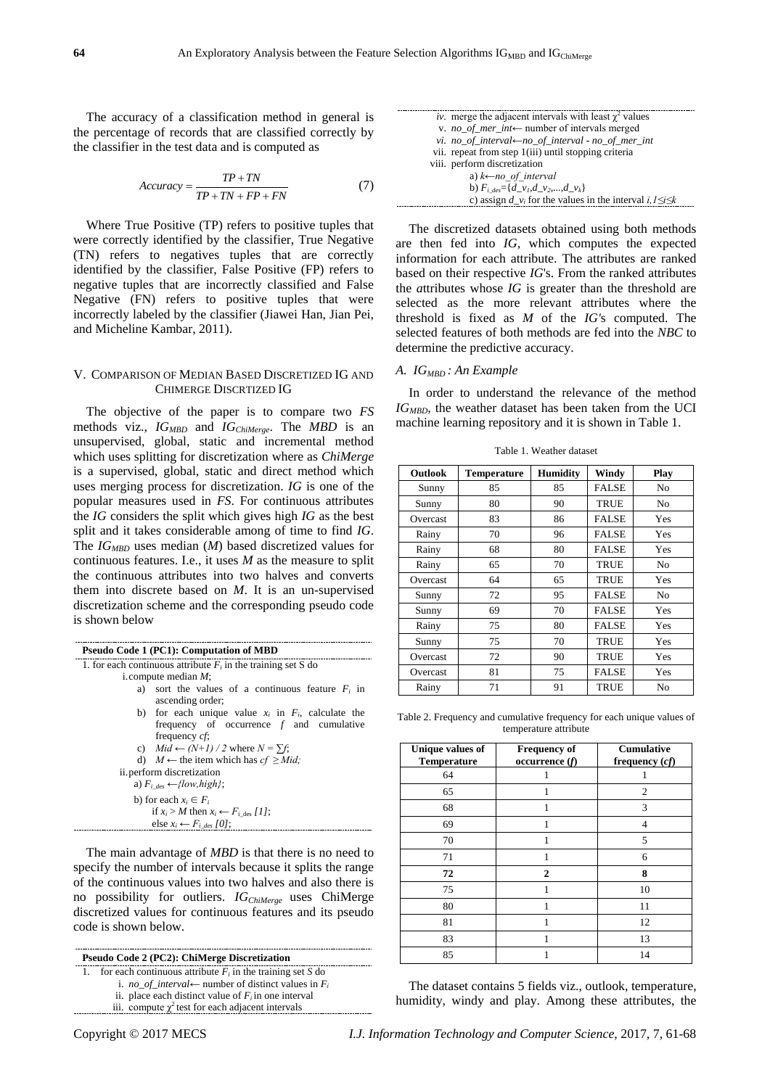The accuracy of a classification method in general is the percentage of records that are classified correctly by the classifier in the test data and is computed as

$$
Accuracy = \frac{TP + TN}{TP + TN + FP + FN}
$$
 (7)

Where True Positive (TP) refers to positive tuples that were correctly identified by the classifier, True Negative (TN) refers to negatives tuples that are correctly identified by the classifier, False Positive (FP) refers to negative tuples that are incorrectly classified and False Negative (FN) refers to positive tuples that were incorrectly labeled by the classifier (Jiawei Han, Jian Pei, and Micheline Kambar, 2011).

#### V. COMPARISON OF MEDIAN BASED DISCRETIZED IG AND CHIMERGE DISCRTIZED IG

The objective of the paper is to compare two *FS* methods viz., *IGMBD* and *IGChiMerge*. The *MBD* is an unsupervised, global, static and incremental method which uses splitting for discretization where as *ChiMerge* is a supervised, global, static and direct method which uses merging process for discretization. *IG* is one of the popular measures used in *FS*. For continuous attributes the *IG* considers the split which gives high *IG* as the best split and it takes considerable among of time to find *IG*. The *IGMBD* uses median (*M*) based discretized values for continuous features. I.e., it uses *M* as the measure to split the continuous attributes into two halves and converts them into discrete based on *M*. It is an un-supervised discretization scheme and the corresponding pseudo code is shown below

| Pseudo Code 1 (PC1): Computation of MBD                         |  |  |  |  |  |
|-----------------------------------------------------------------|--|--|--|--|--|
| 1. for each continuous attribute $F_i$ in the training set S do |  |  |  |  |  |
| i. compute median $M$ ;                                         |  |  |  |  |  |
| a) sort the values of a continuous feature $F_i$ in             |  |  |  |  |  |
| ascending order;                                                |  |  |  |  |  |
| b) for each unique value $x_i$ in $F_i$ , calculate the         |  |  |  |  |  |
| frequency of occurrence $f$ and cumulative                      |  |  |  |  |  |
| frequency <i>cf</i> :                                           |  |  |  |  |  |
| c) $Mid \leftarrow (N+1)/2$ where $N = \sum f$ ;                |  |  |  |  |  |
| d) $M \leftarrow$ the item which has $cf \geq Mid$ ;            |  |  |  |  |  |
| ii. perform discretization                                      |  |  |  |  |  |
| a) $F_i$ des $\leftarrow$ {low, high};                          |  |  |  |  |  |
| b) for each $x_i \in F_i$                                       |  |  |  |  |  |
| if $x_i > M$ then $x_i \leftarrow F_i$ des [1];                 |  |  |  |  |  |
| else $x_i \leftarrow F_i$ des [0];                              |  |  |  |  |  |

The main advantage of *MBD* is that there is no need to specify the number of intervals because it splits the range of the continuous values into two halves and also there is no possibility for outliers. *IGChiMerge* uses ChiMerge discretized values for continuous features and its pseudo code is shown below.

| Pseudo Code 2 (PC2): ChiMerge Discretization |                                                               |  |  |  |  |  |  |
|----------------------------------------------|---------------------------------------------------------------|--|--|--|--|--|--|
| 1.                                           | for each continuous attribute $F_i$ in the training set S do  |  |  |  |  |  |  |
|                                              | i. <i>no</i> of interval – number of distinct values in $F_i$ |  |  |  |  |  |  |
|                                              | ii. place each distinct value of $F_i$ in one interval        |  |  |  |  |  |  |
|                                              | iii. compute $\chi^2$ test for each adjacent intervals        |  |  |  |  |  |  |

| iv. merge the adjacent intervals with least $\chi^2$ values           |
|-----------------------------------------------------------------------|
| v. <i>no_of_mer_int</i> $\leftarrow$ number of intervals merged       |
| vi. no_of_interval $\leftarrow$ no_of_interval - no_of_mer_int        |
| vii. repeat from step 1(iii) until stopping criteria                  |
| viii. perform discretization                                          |
| a) $k\leftarrow$ no of interval                                       |
| b) $F_{i, des} = \{d_v, d_v, d_v, , d_v\}$                            |
| c) assign $d_{v_i}$ for the values in the interval $i, 1 \le i \le k$ |

The discretized datasets obtained using both methods are then fed into *IG,* which computes the expected information for each attribute. The attributes are ranked based on their respective *IG*'s. From the ranked attributes the *a*ttributes whose *IG* is greater than the threshold are selected as the more relevant attributes where the threshold is fixed as *M* of the *IG'*s computed. The selected features of both methods are fed into the *NBC* to determine the predictive accuracy.

#### *A. IGMBD : An Example*

In order to understand the relevance of the method *IGMBD,* the weather dataset has been taken from the UCI machine learning repository and it is shown in Table 1.

| <b>Outlook</b> | <b>Temperature</b> | <b>Humidity</b> | Windy        | Play           |
|----------------|--------------------|-----------------|--------------|----------------|
| Sunny          | 85                 | 85              | <b>FALSE</b> | No             |
| Sunny          | 80                 | 90              | <b>TRUE</b>  | No             |
| Overcast       | 83                 | 86              | <b>FALSE</b> | <b>Yes</b>     |
| Rainy          | 70                 | 96              | <b>FALSE</b> | Yes            |
| Rainy          | 68                 | 80              | <b>FALSE</b> | Yes            |
| Rainy          | 65                 | 70              | <b>TRUE</b>  | No             |
| Overcast       | 64                 | 65              | <b>TRUE</b>  | Yes            |
| Sunny          | 72                 | 95              | <b>FALSE</b> | N <sub>0</sub> |
| Sunny          | 69                 | 70              | <b>FALSE</b> | Yes            |
| Rainy          | 75                 | 80              | <b>FALSE</b> | Yes            |
| Sunny          | 75                 | 70              | <b>TRUE</b>  | Yes            |
| Overcast       | 72                 | 90              | <b>TRUE</b>  | Yes            |
| Overcast       | 81                 | 75              | <b>FALSE</b> | Yes            |
| Rainy          | 71                 | 91              | <b>TRUE</b>  | No             |

Table 1. Weather dataset

Table 2. Frequency and cumulative frequency for each unique values of temperature attribute

| Unique values of<br>Temperature | <b>Frequency of</b><br>occurrence(f) | Cumulative<br>frequency $(cf)$ |
|---------------------------------|--------------------------------------|--------------------------------|
| 64                              |                                      |                                |
| 65                              |                                      | $\overline{2}$                 |
| 68                              | 1                                    | 3                              |
| 69                              |                                      | 4                              |
| 70                              |                                      | 5                              |
| 71                              |                                      | 6                              |
| 72                              | 2                                    | 8                              |
| 75                              |                                      | 10                             |
| 80                              |                                      | 11                             |
| 81                              |                                      | 12                             |
| 83                              |                                      | 13                             |
| 85                              |                                      | 14                             |

The dataset contains 5 fields viz., outlook, temperature, humidity, windy and play. Among these attributes, the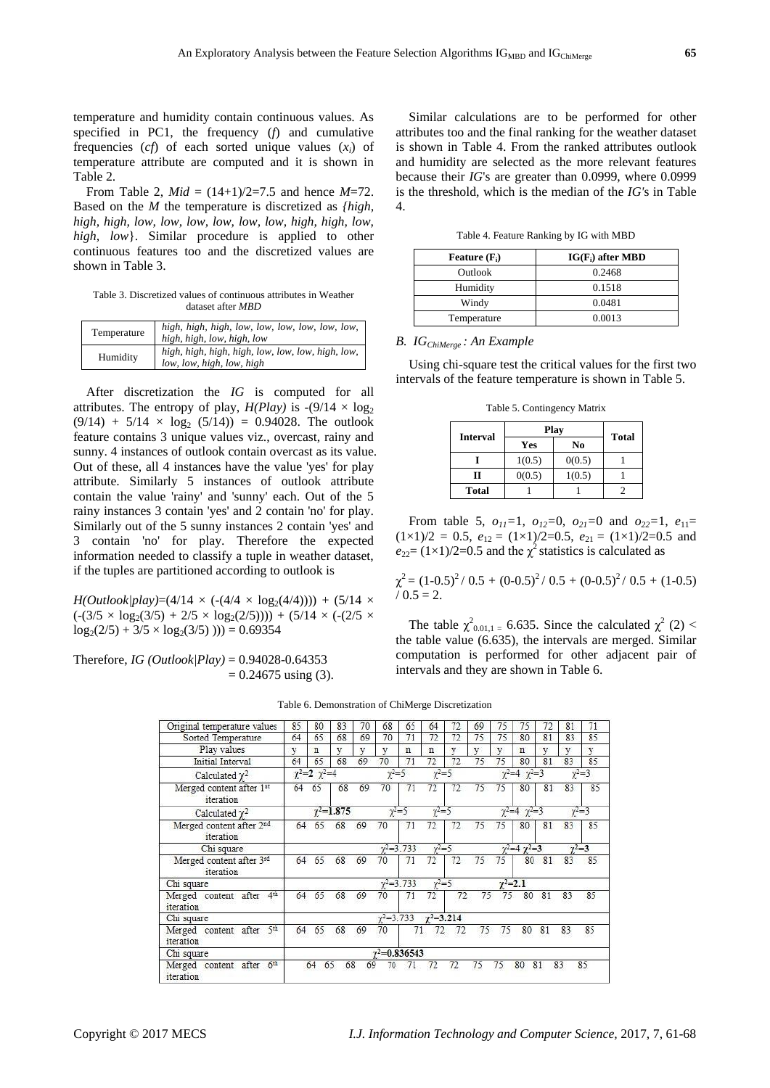temperature and humidity contain continuous values. As specified in PC1, the frequency (*f*) and cumulative frequencies  $(cf)$  of each sorted unique values  $(x_i)$  of temperature attribute are computed and it is shown in Table 2.

From Table 2,  $Mid = (14+1)/2=7.5$  and hence  $M=72$ . Based on the *M* the temperature is discretized as *{high, high, high, low, low, low, low, low, low, high, high, low, high, low*}. Similar procedure is applied to other continuous features too and the discretized values are shown in Table 3.

Table 3. Discretized values of continuous attributes in Weather dataset after *MBD*

| Temperature | high, high, high, low, low, low, low, low, low,<br>high, high, low, high, low  |
|-------------|--------------------------------------------------------------------------------|
| Humidity    | high, high, high, high, low, low, low, high, low,<br>low, low, high, low, high |

After discretization the *IG* is computed for all attributes. The entropy of play,  $H(Play)$  is  $-(9/14 \times log_2)$  $(9/14) + 5/14 \times \log_2 (5/14) = 0.94028$ . The outlook feature contains 3 unique values viz., overcast, rainy and sunny. 4 instances of outlook contain overcast as its value. Out of these, all 4 instances have the value 'yes' for play attribute. Similarly 5 instances of outlook attribute contain the value 'rainy' and 'sunny' each. Out of the 5 rainy instances 3 contain 'yes' and 2 contain 'no' for play. Similarly out of the 5 sunny instances 2 contain 'yes' and 3 contain 'no' for play. Therefore the expected information needed to classify a tuple in weather dataset, if the tuples are partitioned according to outlook is

*H*(*Outlook|play*)=(4/14  $\times$  (-(4/4  $\times$  log<sub>2</sub>(4/4)))) + (5/14  $\times$  $\left(\frac{-(3}{5} \times \log_2(3/5) + 2/5 \times \log_2(2/5))\right)$ ) + (5/14  $\times$  (-(2/5  $\times$  $log_2(2/5) + 3/5 \times log_2(3/5)$ ))) = 0.69354

Therefore, *IG (Outlook|Play)* = 0.94028-0.64353  $= 0.24675$  using (3).

Similar calculations are to be performed for other attributes too and the final ranking for the weather dataset is shown in Table 4. From the ranked attributes outlook and humidity are selected as the more relevant features because their *IG*'s are greater than 0.0999, where 0.0999 is the threshold, which is the median of the *IG'*s in Table 4.

Table 4. Feature Ranking by IG with MBD

| Feature $(F_i)$ | $IG(F_i)$ after MBD |
|-----------------|---------------------|
| <b>Outlook</b>  | 0.2468              |
| Humidity        | 0.1518              |
| Windy           | 0.0481              |
| Temperature     | 0.0013              |

# *B. IGChiMerge : An Example*

Using chi-square test the critical values for the first two intervals of the feature temperature is shown in Table 5.

|                 | Play   |              |  |  |  |
|-----------------|--------|--------------|--|--|--|
| <b>Interval</b> | Yes    | <b>Total</b> |  |  |  |
|                 | 1(0.5) | 0(0.5)       |  |  |  |
| Н               | 0(0.5) | 1(0.5)       |  |  |  |
| <b>Total</b>    |        |              |  |  |  |

Table 5. Contingency Matrix

From table 5,  $o_{11}=1$ ,  $o_{12}=0$ ,  $o_{21}=0$  and  $o_{22}=1$ ,  $e_{11}=$  $(1 \times 1)/2 = 0.5$ ,  $e_{12} = (1 \times 1)/2 = 0.5$ ,  $e_{21} = (1 \times 1)/2 = 0.5$  and  $e_{22}$ = (1×1)/2=0.5 and the  $\chi^2$  statistics is calculated as

$$
\chi^2 = (1-0.5)^2 / 0.5 + (0-0.5)^2 / 0.5 + (0-0.5)^2 / 0.5 + (1-0.5) / 0.5 = 2.
$$

The table  $\chi^2_{0.01,1}$  = 6.635. Since the calculated  $\chi^2$  (2) < the table value (6.635), the intervals are merged. Similar computation is performed for other adjacent pair of intervals and they are shown in Table 6.

|                                                      |    |                             |                    |    |               |                       |                    |    |    |    |                               |    |                | 71        |
|------------------------------------------------------|----|-----------------------------|--------------------|----|---------------|-----------------------|--------------------|----|----|----|-------------------------------|----|----------------|-----------|
| Original temperature values                          | 85 | 80                          | 83                 | 70 | 68            | 65                    | 64                 | 72 | 69 | 75 | 75                            | 72 | 81             |           |
| Sorted Temperature                                   | 64 | 65                          | 68                 | 69 | 70            | 71                    | 72                 | 72 | 75 | 75 | 80                            | 81 | 83             | 85        |
| Play values                                          | v  | n                           | v                  | v  | v             | n                     | n                  | v. | v  | v  | n                             | v  | v              | v         |
| Initial Interval                                     | 64 | 65                          | 68                 | 69 | 70            | 71                    | 72                 | 72 | 75 | 75 | 80                            | 81 | 83             | 85        |
| Calculated $\gamma^2$                                |    | $\gamma^2 = 2 \gamma^2 = 4$ |                    |    | $y^2=5$       |                       | $y^2 = 5$          |    |    |    | $\gamma^2 = 4$ $\gamma^2 = 3$ |    |                | $y^2 = 3$ |
| Merged content after 1st<br>iteration                | 64 | 65                          | 68                 | 69 | 70            | 71                    | 72                 | 72 | 75 | 75 | 80                            | 81 | 83             | 85        |
| Calculated $\chi^2$                                  |    |                             | $\gamma^2 = 1.875$ |    |               | $y^2 = 5$             | $y^2 = 5$          |    |    |    | $y^2=4$ $y^2=3$               |    |                | $y^2=3$   |
| Merged content after 2nd<br>iteration                | 64 | 65                          | 68                 | 69 | 70            | 71                    | 72                 | 72 | 75 | 75 | 80                            | 81 | 83             | 85        |
| Chi square                                           |    |                             |                    |    |               | $y^2=3.733$           | $\sqrt{2} = 5$     |    |    |    | $\gamma^2 = 4 \gamma^2 = 3$   |    | $\gamma^2 = 3$ |           |
| Merged content after 3rd<br>iteration                | 64 | 65                          | 68                 | 69 | 70            | 71                    | 72                 | 72 | 75 | 75 | 80                            | 81 | 83             | 85        |
| Chi square                                           |    |                             |                    |    |               | $y^2=3.733$           | $\gamma^2 = 5$     |    |    |    | $\gamma^2 = 2.1$              |    |                |           |
| 4 <sup>th</sup><br>Merged content after<br>iteration | 64 | 65                          | 68                 | 69 | 70            | 71                    | 72                 | 72 | 75 | 75 | 80                            | 81 | 83             | 85        |
| Chi square                                           |    |                             |                    |    | $y^2 = 3.733$ |                       | $\gamma^2 = 3.214$ |    |    |    |                               |    |                |           |
| 5 <sup>th</sup><br>Merged content after<br>iteration | 64 | 65                          | 68                 | 69 | 70            | 71                    | 72                 | 72 | 75 | 75 | 80                            | 81 | 83             | 85        |
| Chi square                                           |    |                             |                    |    |               | $\gamma^2 = 0.836543$ |                    |    |    |    |                               |    |                |           |
| 6th<br>Merged content<br>after<br>iteration          |    | 65<br>64                    | 68                 | 69 | 70            | 71                    | 72                 | 72 | 75 | 75 | 80                            | 81 | 83             | 85        |

Table 6. Demonstration of ChiMerge Discretization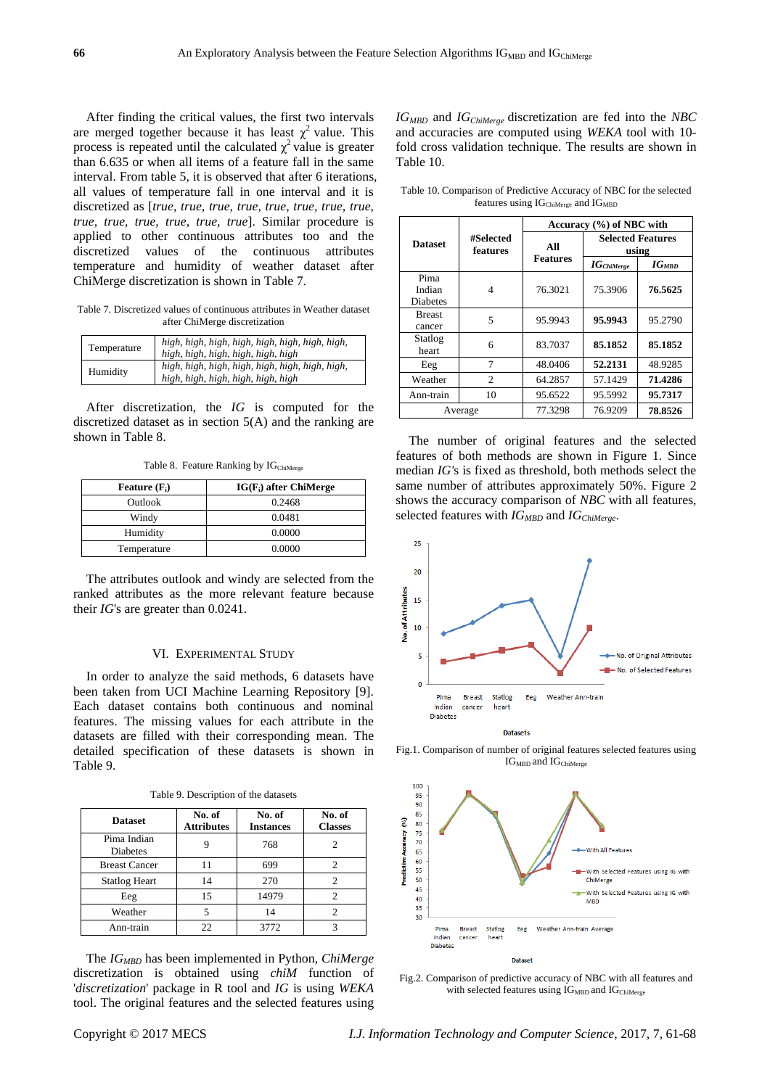After finding the critical values, the first two intervals are merged together because it has least  $\chi^2$  value. This process is repeated until the calculated  $\chi^2$  value is greater than 6.635 or when all items of a feature fall in the same interval. From table 5, it is observed that after 6 iterations, all values of temperature fall in one interval and it is discretized as [*true, true, true, true, true, true, true, true, true, true, true, true, true, true*]. Similar procedure is applied to other continuous attributes too and the discretized values of the continuous attributes temperature and humidity of weather dataset after ChiMerge discretization is shown in Table 7.

Table 7. Discretized values of continuous attributes in Weather dataset after ChiMerge discretization

| Temperature | high, high, high, high, high, high, high, high,<br>high, high, high, high, high, high |
|-------------|---------------------------------------------------------------------------------------|
| Humidity    | high, high, high, high, high, high, high, high,<br>high, high, high, high, high, high |

After discretization, the *IG* is computed for the discretized dataset as in section 5(A) and the ranking are shown in Table 8.

Table 8. Feature Ranking by IG<sub>ChiMerge</sub>

| Feature $(F_i)$ | $IG(F_i)$ after ChiMerge |
|-----------------|--------------------------|
| Outlook         | 0.2468                   |
| Windy           | 0.0481                   |
| Humidity        | 0.0000                   |
| Temperature     | 0.0000                   |

The attributes outlook and windy are selected from the ranked attributes as the more relevant feature because their *IG*'s are greater than 0.0241.

#### VI. EXPERIMENTAL STUDY

In order to analyze the said methods, 6 datasets have been taken from UCI Machine Learning Repository [9]. Each dataset contains both continuous and nominal features. The missing values for each attribute in the datasets are filled with their corresponding mean. The detailed specification of these datasets is shown in Table 9.

| <b>Dataset</b>                 | No. of<br><b>Attributes</b> | No. of<br><b>Instances</b> | No. of<br><b>Classes</b> |
|--------------------------------|-----------------------------|----------------------------|--------------------------|
| Pima Indian<br><b>Diabetes</b> |                             | 768                        |                          |
| <b>Breast Cancer</b>           | 11                          | 699                        |                          |
| <b>Statlog Heart</b>           | 14                          | 270                        | $\mathfrak{D}$           |
| Eeg                            | 15                          | 14979                      | 2                        |
| Weather                        |                             | 14                         | 2                        |
| Ann-train                      | つつ                          | 3772                       |                          |

The *IGMBD* has been implemented in Python, *ChiMerge*  discretization is obtained using *chiM* function of '*discretization*' package in R tool and *IG* is using *WEKA* tool. The original features and the selected features using

*IGMBD* and *IGChiMerge* discretization are fed into the *NBC* and accuracies are computed using *WEKA* tool with 10 fold cross validation technique. The results are shown in Table 10.

Table 10. Comparison of Predictive Accuracy of NBC for the selected features using IG<sub>ChiMerge</sub> and IG<sub>MBD</sub>

|                                   | #Selected<br>features       | Accuracy (%) of NBC with |                                   |                   |
|-----------------------------------|-----------------------------|--------------------------|-----------------------------------|-------------------|
| <b>Dataset</b>                    |                             | All<br><b>Features</b>   | <b>Selected Features</b><br>using |                   |
|                                   |                             |                          | $IG_{ChiMerge}$                   | IG <sub>MBD</sub> |
| Pima<br>Indian<br><b>Diabetes</b> | 4                           | 76.3021                  | 75.3906                           | 76.5625           |
| <b>Breast</b><br>cancer           | 5                           | 95.9943                  | 95.9943                           | 95.2790           |
| Statlog<br>heart                  | 6                           | 83.7037                  | 85.1852                           | 85.1852           |
| Eeg                               | 7                           | 48.0406                  | 52.2131                           | 48.9285           |
| Weather                           | $\mathcal{D}_{\mathcal{L}}$ | 64.2857                  | 57.1429                           | 71.4286           |
| Ann-train                         | 10                          | 95.6522                  | 95.5992                           | 95.7317           |
| Average                           |                             | 77.3298                  | 76.9209                           | 78.8526           |

The number of original features and the selected features of both methods are shown in Figure 1. Since median *IG'*s is fixed as threshold, both methods select the same number of attributes approximately 50%. Figure 2 shows the accuracy comparison of *NBC* with all features, selected features with *IG<sub>MBD</sub>* and *IG*<sub>ChiMerge</sub>.



Fig.1. Comparison of number of original features selected features using  $IG<sub>MBD</sub>$  and  $IG<sub>ChiMerge</sub>$ 



Fig.2. Comparison of predictive accuracy of NBC with all features and with selected features using  $IG<sub>MBD</sub>$  and  $IG<sub>ChiMerge</sub>$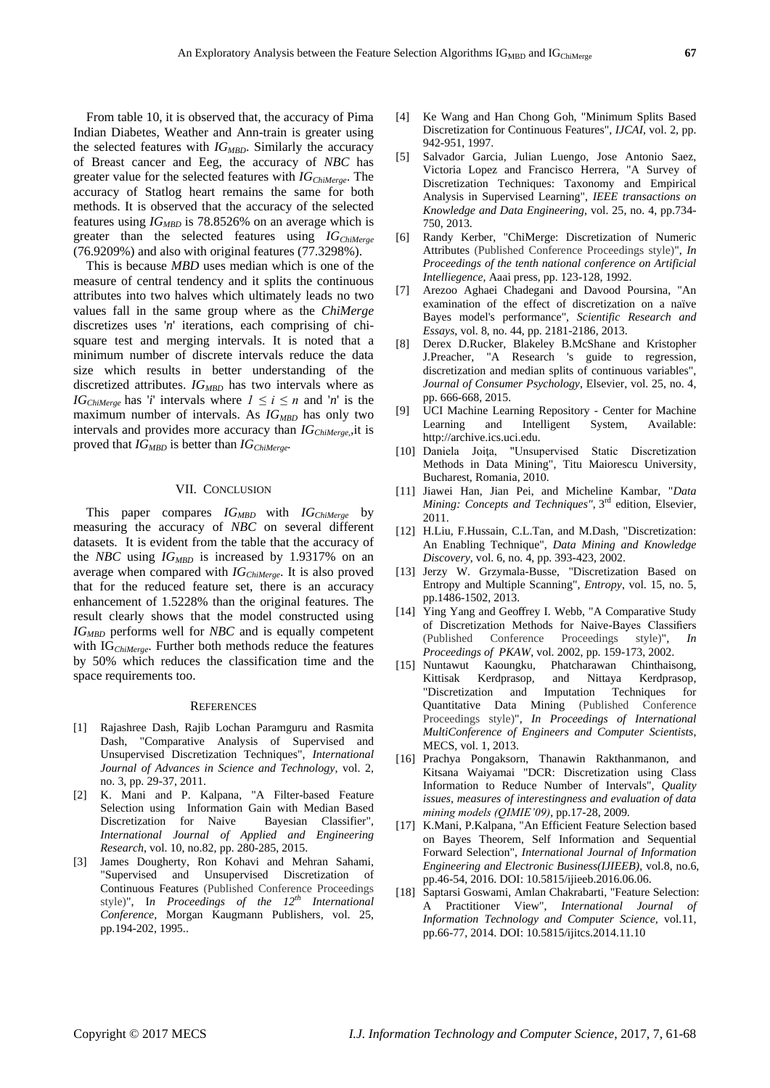From table 10, it is observed that, the accuracy of Pima Indian Diabetes, Weather and Ann-train is greater using the selected features with *IGMBD*. Similarly the accuracy of Breast cancer and Eeg, the accuracy of *NBC* has greater value for the selected features with *IGChiMerge*. The accuracy of Statlog heart remains the same for both methods. It is observed that the accuracy of the selected features using  $IG<sub>MBD</sub>$  is 78.8526% on an average which is greater than the selected features using *IGChiMerge* (76.9209%) and also with original features (77.3298%).

This is because *MBD* uses median which is one of the measure of central tendency and it splits the continuous attributes into two halves which ultimately leads no two values fall in the same group where as the *ChiMerge*  discretizes uses '*n*' iterations, each comprising of chisquare test and merging intervals. It is noted that a minimum number of discrete intervals reduce the data size which results in better understanding of the discretized attributes. *IGMBD* has two intervals where as *IG*<sub>ChiMerge</sub> has '*i*' intervals where  $1 \le i \le n$  and '*n*' is the maximum number of intervals. As  $IG_{MBD}$  has only two intervals and provides more accuracy than *IGChiMerge,,*it is proved that *IGMBD* is better than *IGChiMerge.*

#### VII. CONCLUSION

This paper compares *IGMBD* with *IGChiMerge* by measuring the accuracy of *NBC* on several different datasets. It is evident from the table that the accuracy of the *NBC* using *IGMBD* is increased by 1.9317% on an average when compared with *IGChiMerge*. It is also proved that for the reduced feature set, there is an accuracy enhancement of 1.5228% than the original features. The result clearly shows that the model constructed using *IGMBD* performs well for *NBC* and is equally competent with IG*ChiMerge*. Further both methods reduce the features by 50% which reduces the classification time and the space requirements too.

#### **REFERENCES**

- [1] Rajashree Dash, Rajib Lochan Paramguru and Rasmita Dash, "Comparative Analysis of Supervised and Unsupervised Discretization Techniques", *International Journal of Advances in Science and Technology*, vol. 2, no. 3, pp. 29-37, 2011.
- [2] K. Mani and P. Kalpana, "A Filter-based Feature Selection using Information Gain with Median Based Discretization for Naive Bayesian Classifier", *International Journal of Applied and Engineering Research*, vol. 10, no.82, pp. 280-285, 2015.
- [3] James Dougherty, Ron Kohavi and Mehran Sahami, "Supervised and Unsupervised Discretization of Continuous Features (Published Conference Proceedings style)", I*n Proceedings of the 12th International Conference,* Morgan Kaugmann Publishers, vol. 25, pp.194-202, 1995..
- [4] Ke Wang and Han Chong Goh, "Minimum Splits Based Discretization for Continuous Features"*, IJCAI*, vol. 2, pp. 942-951, 1997.
- [5] Salvador Garcia, Julian Luengo, Jose Antonio Saez, Victoria Lopez and Francisco Herrera, "A Survey of Discretization Techniques: Taxonomy and Empirical Analysis in Supervised Learning", *IEEE transactions on Knowledge and Data Engineering*, vol. 25, no. 4, pp.734- 750, 2013.
- [6] Randy Kerber, "ChiMerge: Discretization of Numeric Attributes (Published Conference Proceedings style)", *In Proceedings of the tenth national conference on Artificial Intelliegence*, Aaai press, pp. 123-128, 1992.
- [7] Arezoo Aghaei Chadegani and Davood Poursina, "An examination of the effect of discretization on a naïve Bayes model's performance", *Scientific Research and Essays*, vol. 8, no. 44, pp. 2181-2186, 2013.
- [8] Derex D.Rucker, Blakeley B.McShane and Kristopher J.Preacher, "A Research 's guide to regression, discretization and median splits of continuous variables", *Journal of Consumer Psychology*, Elsevier, vol. 25, no. 4, pp. 666-668, 2015.
- [9] UCI Machine Learning Repository Center for Machine Learning and Intelligent System, Available: http://archive.ics.uci.edu.
- [10] Daniela Joita, "Unsupervised Static Discretization Methods in Data Mining", Titu Maiorescu University, Bucharest, Romania, 2010.
- [11] Jiawei Han, Jian Pei, and Micheline Kambar, "*Data*  Mining: Concepts and Techniques", 3<sup>rd</sup> edition, Elsevier, 2011.
- [12] H.Liu, F.Hussain, C.L.Tan, and M.Dash, "Discretization: An Enabling Technique", *Data Mining and Knowledge Discovery*, vol. 6, no. 4, pp. 393-423, 2002.
- [13] Jerzy W. Grzymala-Busse, "Discretization Based on Entropy and Multiple Scanning", *Entropy*, vol. 15, no. 5, pp.1486-1502, 2013.
- [14] Ying Yang and Geoffrey I. Webb, "A Comparative Study of Discretization Methods for Naive-Bayes Classifiers (Published Conference Proceedings style)", *In Proceedings of PKAW*, vol. 2002, pp. 159-173, 2002.
- [15] Nuntawut Kaoungku, Phatcharawan Chinthaisong, Kittisak Kerdprasop, and Nittaya Kerdprasop, "Discretization and Imputation Techniques for Quantitative Data Mining (Published Conference Proceedings style)", *In Proceedings of International MultiConference of Engineers and Computer Scientists*, MECS, vol. 1, 2013.
- [16] Prachya Pongaksorn, Thanawin Rakthanmanon, and Kitsana Waiyamai "DCR: Discretization using Class Information to Reduce Number of Intervals", *Quality issues, measures of interestingness and evaluation of data mining models (QIMIE'09)*, pp.17-28, 2009.
- [17] K.Mani, P.Kalpana, "An Efficient Feature Selection based on Bayes Theorem, Self Information and Sequential Forward Selection", *International Journal of Information Engineering and Electronic Business(IJIEEB)*, vol.8, no.6, pp.46-54, 2016. DOI: 10.5815/ijieeb.2016.06.06.
- [18] Saptarsi Goswami, Amlan Chakrabarti, "Feature Selection: A Practitioner View", *International Journal of Information Technology and Computer Science,* vol.11, pp.66-77, 2014. DOI: 10.5815/ijitcs.2014.11.10